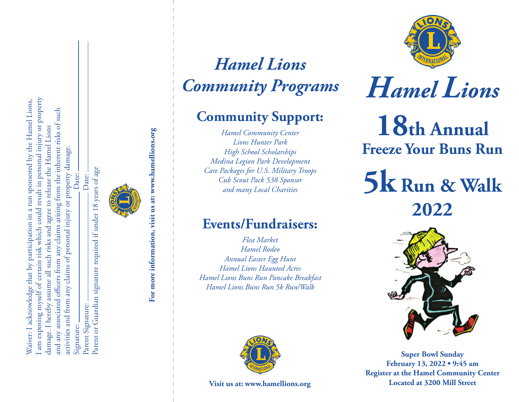am exposing myself of certain risk which could result in personal injury or property I am exposing myself of certain risk which could result in personal injury or property Waiver: I acknowledge that by participation in a run sponsored by the Hamel Lions, Waiver: I acknowledge that by participation in a run sponsored by the Hamel Lions, and any associated officers from any claims arising from the inherent risks of such and any associated officers from any claims arising from the inherent risks of such damage. I hereby assume all such risks and agree to release the Hamel Lions damage. I hereby assume all such risks and agree to release the Hamel Lions or property damage. activities and from any claims of personal injury or property damage. Parent or Guardian signature required if under 18 years of age Date: Signature: Date: Date: Parent Signature: Date: activities and from any claims of personal injury Parent Signature: Signature:

Parent or Guardian signature required if under 18 years of age

**For more information, visit us at: www.hamellions.org**

For more information, visit us at: www.hamellions.org

*Hamel Lions Community Programs*

## **Community Support:**

*Hamel Community Center Lions Hunter Park High School Scholarships Medina Legion Park Development Care Packages for U.S. Military Troops Cub Scout Pack 538 Sponsor and many Local Charities*

### **Events/Fundraisers:**

*Flea Market Hamel Rodeo Annual Easter Egg Hunt Hamel Lions Haunted Acres Hamel Lions Buns Run Pancake Breakfast Hamel Lions Buns Run 5k Run/Walk* 





# *Hamel Lions*

**18th Annual Freeze Your Buns Run**

**5k Run & Walk 2022**



**Super Bowl Sunday February 13, 2022 • 9:45 am Register at the Hamel Community Center Visit us at: www.hamellions.org Located at 3200 Mill Street**